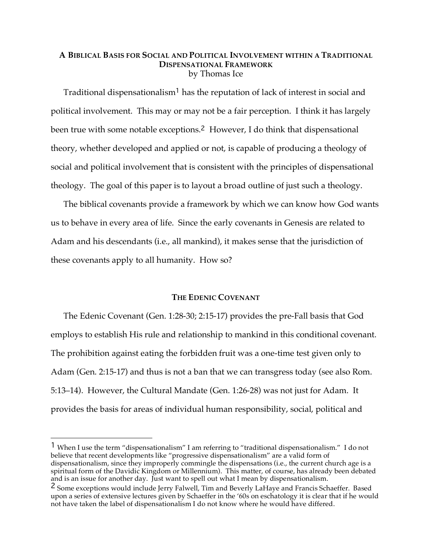# **A BIBLICAL BASIS FOR SOCIAL AND POLITICAL INVOLVEMENT WITHIN A TRADITIONAL DISPENSATIONAL FRAMEWORK** by Thomas Ice

Traditional dispensationalism<sup>1</sup> has the reputation of lack of interest in social and political involvement. This may or may not be a fair perception. I think it has largely been true with some notable exceptions. <sup>2</sup> However, I do think that dispensational theory, whether developed and applied or not, is capable of producing a theology of social and political involvement that is consistent with the principles of dispensational theology. The goal of this paper is to layout a broad outline of just such a theology.

The biblical covenants provide a framework by which we can know how God wants us to behave in every area of life. Since the early covenants in Genesis are related to Adam and his descendants (i.e., all mankind), it makes sense that the jurisdiction of these covenants apply to all humanity. How so?

# **THE EDENIC COVENANT**

The Edenic Covenant (Gen. 1:28-30; 2:15-17) provides the pre-Fall basis that God employs to establish His rule and relationship to mankind in this conditional covenant. The prohibition against eating the forbidden fruit was a one-time test given only to Adam (Gen. 2:15-17) and thus is not a ban that we can transgress today (see also Rom. 5:13–14). However, the Cultural Mandate (Gen. 1:26-28) was not just for Adam. It provides the basis for areas of individual human responsibility, social, political and

1 When I use the term "dispensationalism" I am referring to "traditional dispensationalism." I do not believe that recent developments like "progressive dispensationalism" are a valid form of dispensationalism, since they improperly commingle the dispensations (i.e., the current church age is a spiritual form of the Davidic Kingdom or Millennium). This matter, of course, has already been debated and is an issue for another day. Just want to spell out what I mean by dispensationalism.

<sup>2</sup> Some exceptions would include Jerry Falwell, Tim and Beverly LaHaye and Francis Schaeffer. Based upon a series of extensive lectures given by Schaeffer in the '60s on eschatology it is clear that if he would not have taken the label of dispensationalism I do not know where he would have differed.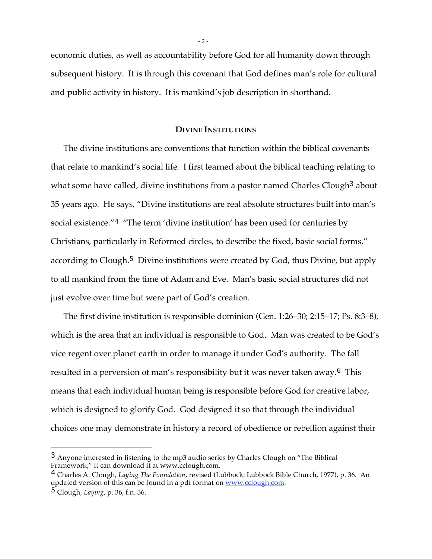economic duties, as well as accountability before God for all humanity down through subsequent history. It is through this covenant that God defines man's role for cultural and public activity in history. It is mankind's job description in shorthand.

## **DIVINE INSTITUTIONS**

The divine institutions are conventions that function within the biblical covenants that relate to mankind's social life. I first learned about the biblical teaching relating to what some have called, divine institutions from a pastor named Charles Clough<sup>3</sup> about 35 years ago. He says, "Divine institutions are real absolute structures built into man's social existence."<sup>4</sup> "The term 'divine institution' has been used for centuries by Christians, particularly in Reformed circles, to describe the fixed, basic social forms," according to Clough.<sup>5</sup> Divine institutions were created by God, thus Divine, but apply to all mankind from the time of Adam and Eve. Man's basic social structures did not just evolve over time but were part of God's creation.

The first divine institution is responsible dominion (Gen. 1:26–30; 2:15–17; Ps. 8:3–8), which is the area that an individual is responsible to God. Man was created to be God's vice regent over planet earth in order to manage it under God's authority. The fall resulted in a perversion of man's responsibility but it was never taken away. <sup>6</sup> This means that each individual human being is responsible before God for creative labor, which is designed to glorify God. God designed it so that through the individual choices one may demonstrate in history a record of obedience or rebellion against their

 $\overline{a}$ 

- 2 -

<sup>3</sup> Anyone interested in listening to the mp3 audio series by Charles Clough on "The Biblical Framework," it can download it at www.cclough.com.

<sup>4</sup> Charles A. Clough, *Laying The Foundation*, revised (Lubbock: Lubbock Bible Church, 1977), p. 36. An updated version of this can be found in a pdf format on <u>www.cclough.com</u>.

<sup>5</sup> Clough, *Laying*, p. 36, f.n. 36.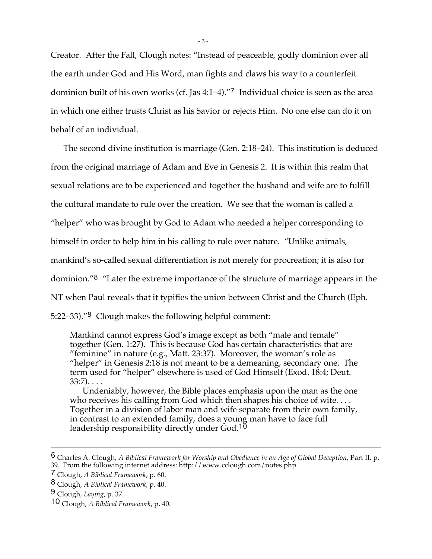Creator. After the Fall, Clough notes: "Instead of peaceable, godly dominion over all the earth under God and His Word, man fights and claws his way to a counterfeit dominion built of his own works (cf. Jas 4:1–4)."<sup>7</sup> Individual choice is seen as the area in which one either trusts Christ as his Savior or rejects Him. No one else can do it on behalf of an individual.

The second divine institution is marriage (Gen. 2:18–24). This institution is deduced from the original marriage of Adam and Eve in Genesis 2. It is within this realm that sexual relations are to be experienced and together the husband and wife are to fulfill the cultural mandate to rule over the creation. We see that the woman is called a "helper" who was brought by God to Adam who needed a helper corresponding to himself in order to help him in his calling to rule over nature. "Unlike animals, mankind's so-called sexual differentiation is not merely for procreation; it is also for dominion."<sup>8</sup> "Later the extreme importance of the structure of marriage appears in the NT when Paul reveals that it typifies the union between Christ and the Church (Eph. 5:22–33)."<sup>9</sup> Clough makes the following helpful comment:

Mankind cannot express God's image except as both "male and female" together (Gen. 1:27). This is because God has certain characteristics that are "feminine" in nature (e.g., Matt. 23:37). Moreover, the woman's role as "helper" in Genesis 2:18 is not meant to be a demeaning, secondary one. The term used for "helper" elsewhere is used of God Himself (Exod. 18:4; Deut.  $33:7)$ . . . .

Undeniably, however, the Bible places emphasis upon the man as the one who receives his calling from God which then shapes his choice of wife.... Together in a division of labor man and wife separate from their own family, in contrast to an extended family, does a young man have to face full leadership responsibility directly under God.<sup>10</sup>

<sup>6</sup> Charles A. Clough, *A Biblical Framework for Worship and Obedience in an Age of Global Deception*, Part II, p. 39. From the following internet address: http://www.cclough.com/notes.php

<sup>7</sup> Clough, *A Biblical Framework*, p. 60.

<sup>8</sup> Clough, *A Biblical Framework*, p. 40.

<sup>9</sup> Clough, *Laying*, p. 37.

<sup>10</sup> Clough, *A Biblical Framework*, p. 40.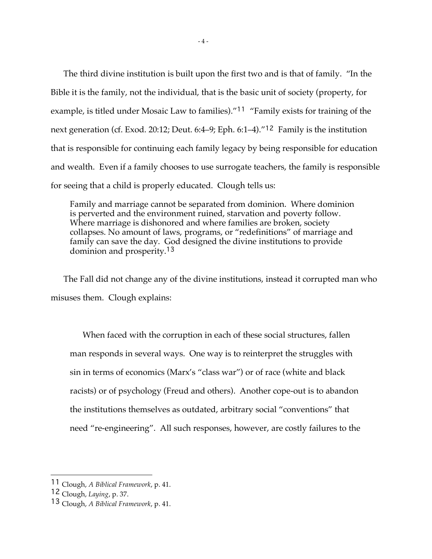The third divine institution is built upon the first two and is that of family. "In the Bible it is the family, not the individual, that is the basic unit of society (property, for example, is titled under Mosaic Law to families)."<sup>11</sup> "Family exists for training of the next generation (cf. Exod. 20:12; Deut. 6:4–9; Eph. 6:1–4)."<sup>12</sup> Family is the institution that is responsible for continuing each family legacy by being responsible for education and wealth. Even if a family chooses to use surrogate teachers, the family is responsible for seeing that a child is properly educated. Clough tells us:

Family and marriage cannot be separated from dominion. Where dominion is perverted and the environment ruined, starvation and poverty follow. Where marriage is dishonored and where families are broken, society collapses. No amount of laws, programs, or "redefinitions" of marriage and family can save the day. God designed the divine institutions to provide dominion and prosperity. 13

The Fall did not change any of the divine institutions, instead it corrupted man who misuses them. Clough explains:

When faced with the corruption in each of these social structures, fallen man responds in several ways. One way is to reinterpret the struggles with sin in terms of economics (Marx's "class war") or of race (white and black racists) or of psychology (Freud and others). Another cope-out is to abandon the institutions themselves as outdated, arbitrary social "conventions" that need "re-engineering". All such responses, however, are costly failures to the

<sup>11</sup> Clough, *A Biblical Framework*, p. 41.

<sup>12</sup> Clough, *Laying*, p. 37.

<sup>13</sup> Clough, *A Biblical Framework*, p. 41.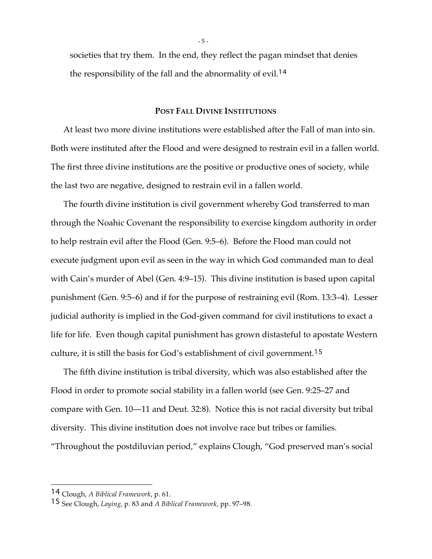societies that try them. In the end, they reflect the pagan mindset that denies the responsibility of the fall and the abnormality of evil. 14

### **POST FALL DIVINE INSTITUTIONS**

At least two more divine institutions were established after the Fall of man into sin. Both were instituted after the Flood and were designed to restrain evil in a fallen world. The first three divine institutions are the positive or productive ones of society, while the last two are negative, designed to restrain evil in a fallen world.

The fourth divine institution is civil government whereby God transferred to man through the Noahic Covenant the responsibility to exercise kingdom authority in order to help restrain evil after the Flood (Gen. 9:5–6). Before the Flood man could not execute judgment upon evil as seen in the way in which God commanded man to deal with Cain's murder of Abel (Gen. 4:9–15). This divine institution is based upon capital punishment (Gen. 9:5–6) and if for the purpose of restraining evil (Rom. 13:3–4). Lesser judicial authority is implied in the God-given command for civil institutions to exact a life for life. Even though capital punishment has grown distasteful to apostate Western culture, it is still the basis for God's establishment of civil government. 15

The fifth divine institution is tribal diversity, which was also established after the Flood in order to promote social stability in a fallen world (see Gen. 9:25–27 and compare with Gen. 10—11 and Deut. 32:8). Notice this is not racial diversity but tribal diversity. This divine institution does not involve race but tribes or families. "Throughout the postdiluvian period," explains Clough, "God preserved man's social

<sup>14</sup> Clough, *A Biblical Framework*, p. 61.

<sup>15</sup> See Clough, *Laying*, p. 83 and *A Biblical Framework*, pp. 97–98.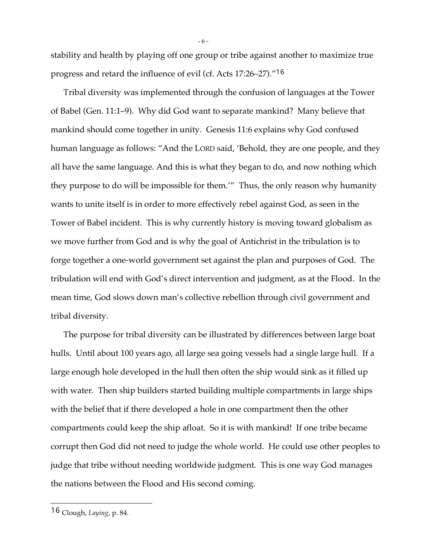stability and health by playing off one group or tribe against another to maximize true progress and retard the influence of evil (cf. Acts 17:26–27)."<sup>16</sup>

Tribal diversity was implemented through the confusion of languages at the Tower of Babel (Gen. 11:1–9). Why did God want to separate mankind? Many believe that mankind should come together in unity. Genesis 11:6 explains why God confused human language as follows: "And the LORD said, 'Behold, they are one people, and they all have the same language. And this is what they began to do, and now nothing which they purpose to do will be impossible for them.'" Thus, the only reason why humanity wants to unite itself is in order to more effectively rebel against God, as seen in the Tower of Babel incident. This is why currently history is moving toward globalism as we move further from God and is why the goal of Antichrist in the tribulation is to forge together a one-world government set against the plan and purposes of God. The tribulation will end with God's direct intervention and judgment, as at the Flood. In the mean time, God slows down man's collective rebellion through civil government and tribal diversity.

The purpose for tribal diversity can be illustrated by differences between large boat hulls. Until about 100 years ago, all large sea going vessels had a single large hull. If a large enough hole developed in the hull then often the ship would sink as it filled up with water. Then ship builders started building multiple compartments in large ships with the belief that if there developed a hole in one compartment then the other compartments could keep the ship afloat. So it is with mankind! If one tribe became corrupt then God did not need to judge the whole world. He could use other peoples to judge that tribe without needing worldwide judgment. This is one way God manages the nations between the Flood and His second coming.

 $\overline{a}$ 

- 6 -

<sup>16</sup> Clough, *Laying*, p. 84.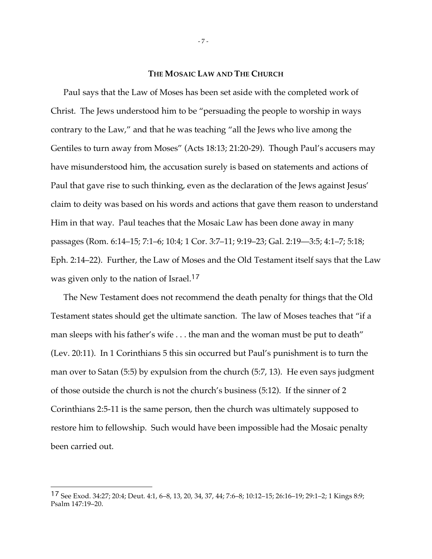## **THE MOSAIC LAW AND THE CHURCH**

Paul says that the Law of Moses has been set aside with the completed work of Christ. The Jews understood him to be "persuading the people to worship in ways contrary to the Law," and that he was teaching "all the Jews who live among the Gentiles to turn away from Moses" (Acts 18:13; 21:20-29). Though Paul's accusers may have misunderstood him, the accusation surely is based on statements and actions of Paul that gave rise to such thinking, even as the declaration of the Jews against Jesus' claim to deity was based on his words and actions that gave them reason to understand Him in that way. Paul teaches that the Mosaic Law has been done away in many passages (Rom. 6:14–15; 7:1–6; 10:4; 1 Cor. 3:7–11; 9:19–23; Gal. 2:19—3:5; 4:1–7; 5:18; Eph. 2:14–22). Further, the Law of Moses and the Old Testament itself says that the Law was given only to the nation of Israel. 17

The New Testament does not recommend the death penalty for things that the Old Testament states should get the ultimate sanction. The law of Moses teaches that "if a man sleeps with his father's wife . . . the man and the woman must be put to death" (Lev. 20:11). In 1 Corinthians 5 this sin occurred but Paul's punishment is to turn the man over to Satan (5:5) by expulsion from the church (5:7, 13). He even says judgment of those outside the church is not the church's business (5:12). If the sinner of 2 Corinthians 2:5-11 is the same person, then the church was ultimately supposed to restore him to fellowship. Such would have been impossible had the Mosaic penalty been carried out.

<sup>17</sup> See Exod. 34:27; 20:4; Deut. 4:1, 6–8, 13, 20, 34, 37, 44; 7:6–8; 10:12–15; 26:16–19; 29:1–2; 1 Kings 8:9; Psalm 147:19–20.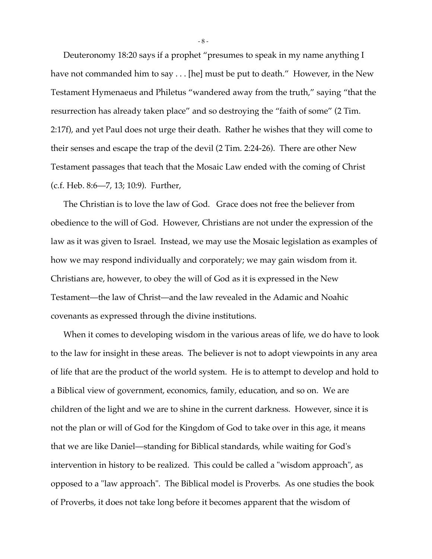Deuteronomy 18:20 says if a prophet "presumes to speak in my name anything I have not commanded him to say . . . [he] must be put to death." However, in the New Testament Hymenaeus and Philetus "wandered away from the truth," saying "that the resurrection has already taken place" and so destroying the "faith of some" (2 Tim. 2:17f), and yet Paul does not urge their death. Rather he wishes that they will come to their senses and escape the trap of the devil (2 Tim. 2:24-26). There are other New Testament passages that teach that the Mosaic Law ended with the coming of Christ (c.f. Heb. 8:6—7, 13; 10:9). Further,

The Christian is to love the law of God. Grace does not free the believer from obedience to the will of God. However, Christians are not under the expression of the law as it was given to Israel. Instead, we may use the Mosaic legislation as examples of how we may respond individually and corporately; we may gain wisdom from it. Christians are, however, to obey the will of God as it is expressed in the New Testament—the law of Christ—and the law revealed in the Adamic and Noahic covenants as expressed through the divine institutions.

When it comes to developing wisdom in the various areas of life, we do have to look to the law for insight in these areas. The believer is not to adopt viewpoints in any area of life that are the product of the world system. He is to attempt to develop and hold to a Biblical view of government, economics, family, education, and so on. We are children of the light and we are to shine in the current darkness. However, since it is not the plan or will of God for the Kingdom of God to take over in this age, it means that we are like Daniel—standing for Biblical standards, while waiting for God's intervention in history to be realized. This could be called a "wisdom approach", as opposed to a "law approach". The Biblical model is Proverbs. As one studies the book of Proverbs, it does not take long before it becomes apparent that the wisdom of

- 8 -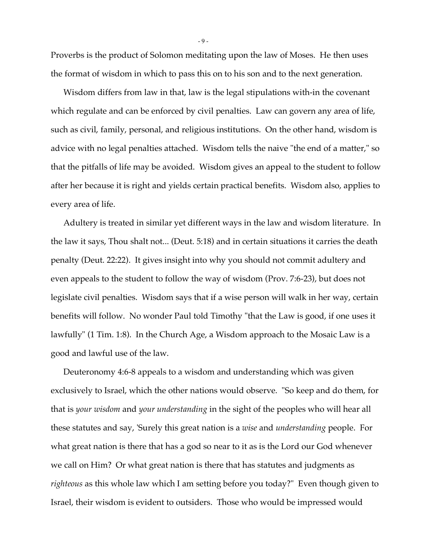Proverbs is the product of Solomon meditating upon the law of Moses. He then uses the format of wisdom in which to pass this on to his son and to the next generation.

Wisdom differs from law in that, law is the legal stipulations with-in the covenant which regulate and can be enforced by civil penalties. Law can govern any area of life, such as civil, family, personal, and religious institutions. On the other hand, wisdom is advice with no legal penalties attached. Wisdom tells the naive "the end of a matter," so that the pitfalls of life may be avoided. Wisdom gives an appeal to the student to follow after her because it is right and yields certain practical benefits. Wisdom also, applies to every area of life.

Adultery is treated in similar yet different ways in the law and wisdom literature. In the law it says, Thou shalt not... (Deut. 5:18) and in certain situations it carries the death penalty (Deut. 22:22). It gives insight into why you should not commit adultery and even appeals to the student to follow the way of wisdom (Prov. 7:6-23), but does not legislate civil penalties. Wisdom says that if a wise person will walk in her way, certain benefits will follow. No wonder Paul told Timothy "that the Law is good, if one uses it lawfully" (1 Tim. 1:8). In the Church Age, a Wisdom approach to the Mosaic Law is a good and lawful use of the law.

Deuteronomy 4:6-8 appeals to a wisdom and understanding which was given exclusively to Israel, which the other nations would observe. "So keep and do them, for that is *your wisdom* and *your understanding* in the sight of the peoples who will hear all these statutes and say, 'Surely this great nation is a *wise* and *understanding* people. For what great nation is there that has a god so near to it as is the Lord our God whenever we call on Him? Or what great nation is there that has statutes and judgments as *righteous* as this whole law which I am setting before you today?" Even though given to Israel, their wisdom is evident to outsiders. Those who would be impressed would

- 9 -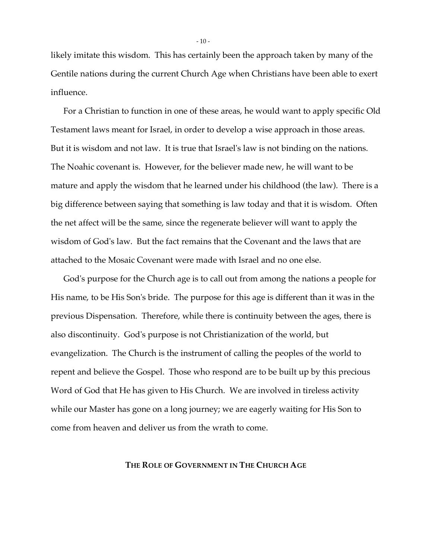likely imitate this wisdom. This has certainly been the approach taken by many of the Gentile nations during the current Church Age when Christians have been able to exert influence.

For a Christian to function in one of these areas, he would want to apply specific Old Testament laws meant for Israel, in order to develop a wise approach in those areas. But it is wisdom and not law. It is true that Israel's law is not binding on the nations. The Noahic covenant is. However, for the believer made new, he will want to be mature and apply the wisdom that he learned under his childhood (the law). There is a big difference between saying that something is law today and that it is wisdom. Often the net affect will be the same, since the regenerate believer will want to apply the wisdom of God's law. But the fact remains that the Covenant and the laws that are attached to the Mosaic Covenant were made with Israel and no one else.

God's purpose for the Church age is to call out from among the nations a people for His name, to be His Son's bride. The purpose for this age is different than it was in the previous Dispensation. Therefore, while there is continuity between the ages, there is also discontinuity. God's purpose is not Christianization of the world, but evangelization. The Church is the instrument of calling the peoples of the world to repent and believe the Gospel. Those who respond are to be built up by this precious Word of God that He has given to His Church. We are involved in tireless activity while our Master has gone on a long journey; we are eagerly waiting for His Son to come from heaven and deliver us from the wrath to come.

## **THE ROLE OF GOVERNMENT IN THE CHURCH AGE**

 $-10-$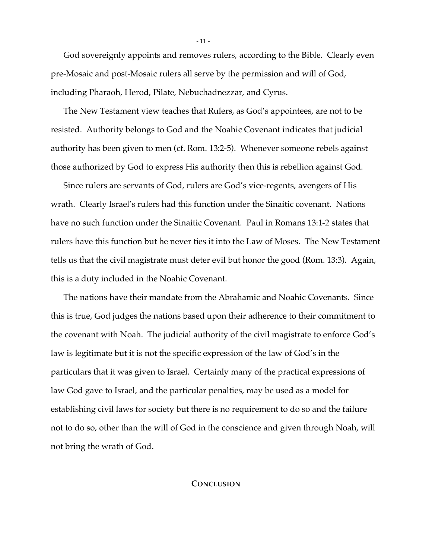God sovereignly appoints and removes rulers, according to the Bible. Clearly even pre-Mosaic and post-Mosaic rulers all serve by the permission and will of God, including Pharaoh, Herod, Pilate, Nebuchadnezzar, and Cyrus.

The New Testament view teaches that Rulers, as God's appointees, are not to be resisted. Authority belongs to God and the Noahic Covenant indicates that judicial authority has been given to men (cf. Rom. 13:2-5). Whenever someone rebels against those authorized by God to express His authority then this is rebellion against God.

Since rulers are servants of God, rulers are God's vice-regents, avengers of His wrath. Clearly Israel's rulers had this function under the Sinaitic covenant. Nations have no such function under the Sinaitic Covenant. Paul in Romans 13:1-2 states that rulers have this function but he never ties it into the Law of Moses. The New Testament tells us that the civil magistrate must deter evil but honor the good (Rom. 13:3). Again, this is a duty included in the Noahic Covenant.

The nations have their mandate from the Abrahamic and Noahic Covenants. Since this is true, God judges the nations based upon their adherence to their commitment to the covenant with Noah. The judicial authority of the civil magistrate to enforce God's law is legitimate but it is not the specific expression of the law of God's in the particulars that it was given to Israel. Certainly many of the practical expressions of law God gave to Israel, and the particular penalties, may be used as a model for establishing civil laws for society but there is no requirement to do so and the failure not to do so, other than the will of God in the conscience and given through Noah, will not bring the wrath of God.

## **CONCLUSION**